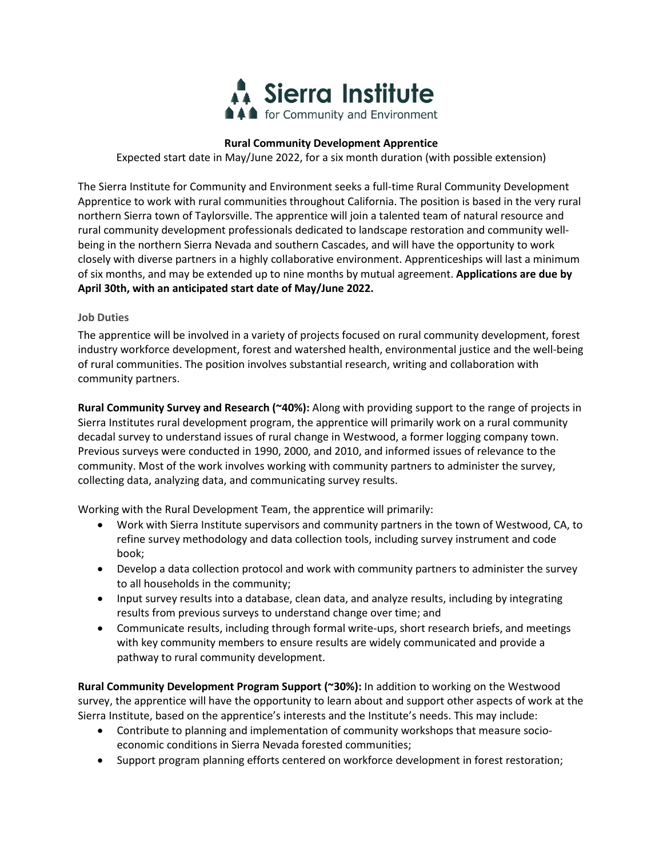

# **Rural Community Development Apprentice**

Expected start date in May/June 2022, for a six month duration (with possible extension)

The Sierra Institute for Community and Environment seeks a full-time Rural Community Development Apprentice to work with rural communities throughout California. The position is based in the very rural northern Sierra town of Taylorsville. The apprentice will join a talented team of natural resource and rural community development professionals dedicated to landscape restoration and community wellbeing in the northern Sierra Nevada and southern Cascades, and will have the opportunity to work closely with diverse partners in a highly collaborative environment. Apprenticeships will last a minimum of six months, and may be extended up to nine months by mutual agreement. **Applications are due by April 30th, with an anticipated start date of May/June 2022.** 

### **Job Duties**

The apprentice will be involved in a variety of projects focused on rural community development, forest industry workforce development, forest and watershed health, environmental justice and the well-being of rural communities. The position involves substantial research, writing and collaboration with community partners.

**Rural Community Survey and Research (~40%):** Along with providing support to the range of projects in Sierra Institutes rural development program, the apprentice will primarily work on a rural community decadal survey to understand issues of rural change in Westwood, a former logging company town. Previous surveys were conducted in 1990, 2000, and 2010, and informed issues of relevance to the community. Most of the work involves working with community partners to administer the survey, collecting data, analyzing data, and communicating survey results.

Working with the Rural Development Team, the apprentice will primarily:

- Work with Sierra Institute supervisors and community partners in the town of Westwood, CA, to refine survey methodology and data collection tools, including survey instrument and code book;
- Develop a data collection protocol and work with community partners to administer the survey to all households in the community;
- Input survey results into a database, clean data, and analyze results, including by integrating results from previous surveys to understand change over time; and
- Communicate results, including through formal write-ups, short research briefs, and meetings with key community members to ensure results are widely communicated and provide a pathway to rural community development.

**Rural Community Development Program Support (~30%):** In addition to working on the Westwood survey, the apprentice will have the opportunity to learn about and support other aspects of work at the Sierra Institute, based on the apprentice's interests and the Institute's needs. This may include:

- Contribute to planning and implementation of community workshops that measure socioeconomic conditions in Sierra Nevada forested communities;
- Support program planning efforts centered on workforce development in forest restoration;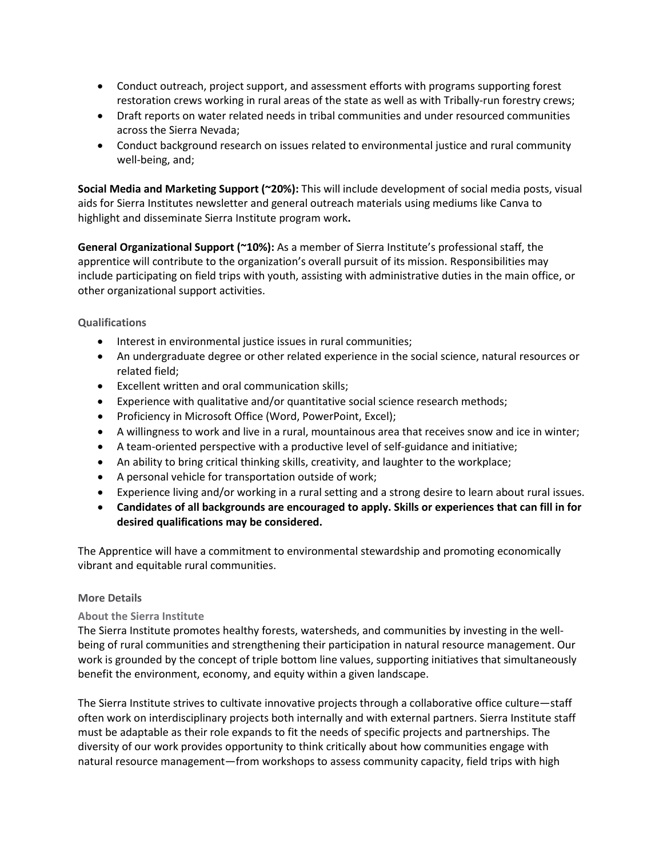- Conduct outreach, project support, and assessment efforts with programs supporting forest restoration crews working in rural areas of the state as well as with Tribally-run forestry crews;
- Draft reports on water related needs in tribal communities and under resourced communities across the Sierra Nevada;
- Conduct background research on issues related to environmental justice and rural community well-being, and;

**Social Media and Marketing Support (~20%):** This will include development of social media posts, visual aids for Sierra Institutes newsletter and general outreach materials using mediums like Canva to highlight and disseminate Sierra Institute program work**.** 

**General Organizational Support (~10%):** As a member of Sierra Institute's professional staff, the apprentice will contribute to the organization's overall pursuit of its mission. Responsibilities may include participating on field trips with youth, assisting with administrative duties in the main office, or other organizational support activities.

**Qualifications**

- Interest in environmental justice issues in rural communities;
- An undergraduate degree or other related experience in the social science, natural resources or related field;
- Excellent written and oral communication skills;
- Experience with qualitative and/or quantitative social science research methods;
- Proficiency in Microsoft Office (Word, PowerPoint, Excel);
- A willingness to work and live in a rural, mountainous area that receives snow and ice in winter;
- A team-oriented perspective with a productive level of self-guidance and initiative;
- An ability to bring critical thinking skills, creativity, and laughter to the workplace;
- A personal vehicle for transportation outside of work;
- Experience living and/or working in a rural setting and a strong desire to learn about rural issues.
- **Candidates of all backgrounds are encouraged to apply. Skills or experiences that can fill in for desired qualifications may be considered.**

The Apprentice will have a commitment to environmental stewardship and promoting economically vibrant and equitable rural communities.

## **More Details**

## **About the Sierra Institute**

The Sierra Institute promotes healthy forests, watersheds, and communities by investing in the wellbeing of rural communities and strengthening their participation in natural resource management. Our work is grounded by the concept of triple bottom line values, supporting initiatives that simultaneously benefit the environment, economy, and equity within a given landscape.

The Sierra Institute strives to cultivate innovative projects through a collaborative office culture—staff often work on interdisciplinary projects both internally and with external partners. Sierra Institute staff must be adaptable as their role expands to fit the needs of specific projects and partnerships. The diversity of our work provides opportunity to think critically about how communities engage with natural resource management—from workshops to assess community capacity, field trips with high